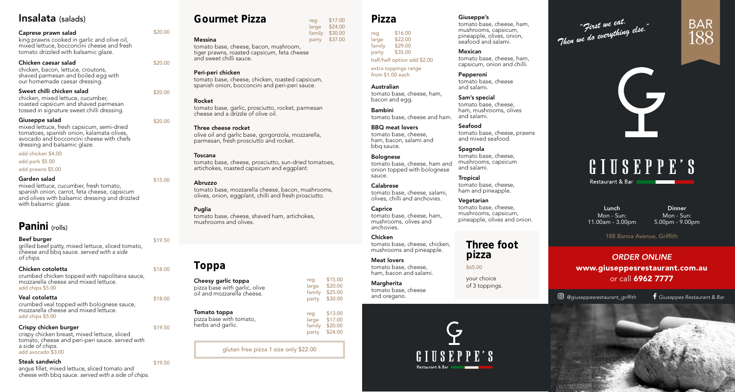# Insalata (salads)

# Caprese prawn salad

king prawns cooked in garlic and olive oil, mixed lettuce, bocconcini cheese and fresh tomato drizzled with balsamic glaze.

# Chicken caesar salad

chicken, bacon, lettuce, croutons, shaved parmesan and boiled egg with our homemade caesar dressing.

### Sweet chilli chicken salad

chicken, mixed lettuce, cucumber, roasted capsicum and shaved parmesan tossed in signature sweet chilli dressing.

### Giuseppe salad

mixed lettuce, fresh capsicum, semi-dried tomatoes, spanish onion, kalamata olives, avocado and bocconcini cheese with chefs dressing and balsamic glaze.

# add chicken \$4.00

add pork \$5.00

### add prawns \$5.00

# Garden salad

mixed lettuce, cucumber, fresh tomato, spanish onion, carrot, feta cheese, capsicum and olives with balsamic dressing and drizzled with balsamic glaze.

# Panini (rolls)

# Beef burger

grilled beef patty, mixed lettuce, sliced tomato, cheese and bbq sauce. *served with a side of chips.* 

# Chicken cotoletta

crumbed chicken topped with napolitana sauce, mozzarella cheese and mixed lettuce. add chips \$5.00

# Veal cotoletta

crumbed veal topped with bolognese sauce, mozzarella cheese and mixed lettuce. add chips \$5.00

# Crispy chicken burger

crispy chicken breast, mixed lettuce, sliced tomato, cheese and peri-peri sauce. *served with a side of chips.* add avocado \$3.00

# Steak sandwich

angus fillet, mixed lettuce, sliced tomato and cheese with bbq sauce. *served with a side of chips.*

# Gourmet Pizza

tomato base, cheese, bacon, mushroom, tiger prawns, roasted capsicum, feta cheese and sweet chilli sauce.

# Peri-peri chicken

Messina

\$20.00

\$20.00

\$20.00

\$20.00

\$15.00

\$19.50

\$18.00

\$18.00

\$19.50

\$19.50

tomato base, cheese, chicken, roasted capsicum, spanish onion, bocconcini and peri-peri sauce.

# Rocket

tomato base, garlic, prosciutto, rocket, parmesan cheese and a drizzle of olive oil.

### Three cheese rocket

olive oil and garlic base, gorgonzola, mozzarella, parmesan, fresh prosciutto and rocket.

# Toscana

tomato base, cheese, prosciutto, sun-dried tomatoes, artichokes, roasted capsicum and eggplant.

# Abruzzo

tomato base, mozzarella cheese, bacon, mushrooms, olives, onion, eggplant, chilli and fresh prosciutto.

# **Puglia**

tomato base, cheese, shaved ham, artichokes, mushrooms and olives.

# Toppa

| Cheesy garlic toppa                                         |  |
|-------------------------------------------------------------|--|
| pizza base with garlic, olive<br>oil and mozzarella cheese. |  |

| Tomato toppa<br>pizza base with tomato,<br>herbs and garlic. | reg<br>large<br>family<br>party |
|--------------------------------------------------------------|---------------------------------|
|                                                              |                                 |

gluten free pizza 1 size only \$22.00

# Pizza

reg \$16.00 large \$22.00<br>family \$29.00 family \$29.00<br>party \$35.00  $$35.00$ half/half option add \$2.00

> extra toppings range from \$1.00 each

### Australian tomato base, cheese, ham, bacon and egg.

Bambini tomato base, cheese and ham. tomato base, cheese, ham, mushrooms, olives and salami.

# BBQ meat lovers

tomato base, cheese, ham, bacon, salami and bbq sauce.

### Bolognese

tomato base, cheese, ham and onion topped with bolognese sauce.

### Calabrese tomato base, cheese, salami, olives, chilli and anchovies.

**Caprice** tomato base, cheese, ham, mushrooms, olives and

# anchovies. Chicken

tomato base, cheese, chicken, mushrooms and pineapple.

# Meat lovers tomato base, cheese,

ham, bacon and salami. **Margherita** tomato base, cheese

and oregano.

reg \$15.00 large \$20.00 family \$25.00<br>party \$30.00 party \$30.00

reg \$17.00<br>large \$24.00 large \$24.00<br>family \$30.00 family \$30.00 party \$37.00

> $$13.00$ \$17.00  $$20.00$  $$24.00$

# "First we eat.<br>"Then we do everything else."

# BAR 188

# L **GIUSEPPE'S**

Restaurant & Bar

Lunch Mon - Sun: 11.00am - 3.00pm

Dinner Mon - Sun: 5.00pm - 9.00pm

188 Banna Avenue, Griffith

# *ORDER ONLINE* www.giuseppesrestaurant.com.au or call 6962 7777

*@giuseppesrestaurant\_griffith Giuseppes Restaurant & Bar*



pizza

\$65.00

Giuseppe's

Mexican

Pepperoni

and salami. Sam's special

Seafood

**Spagnola** 

and salami. Tropical

Vegetarian

tomato base, cheese, ham, mushrooms, capsicum, pineapple, olives, onion, seafood and salami.

tomato base, cheese, ham, capsicum, onion and chilli.

tomato base, cheese, prawns

tomato base, cheese

and mixed seafood.

tomato base, cheese, mushrooms, capsicum

tomato base, cheese, ham and pineapple.

tomato base, cheese, mushrooms, capsicum, pineapple, olives and onion.

your choice of 3 toppings.